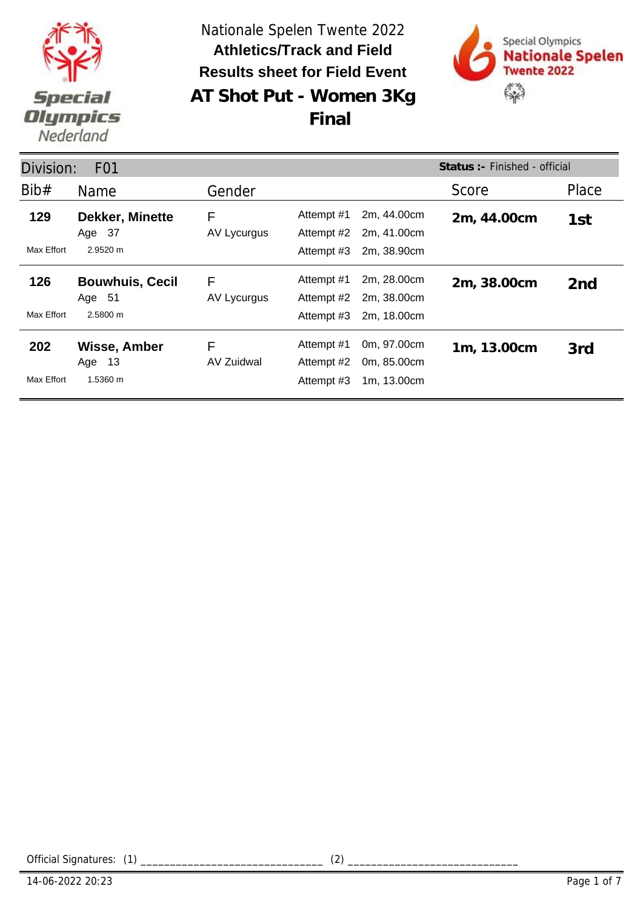

**AT Shot Put - Women 3Kg** Nationale Spelen Twente 2022 **Results sheet for Field Event Athletics/Track and Field**

**Final**



Division: F01 Name Gender Gender Score Place **Status :-** Finished - official Bib# Gender **Dekker, Minette 129 2m, 44.00cm** AV Lycurgus Max Effort 2.9520 m Attempt #1 2m, 44.00cm 2m, 44.00cm 1st<br>Attempt #2 2m, 41.00cm 2m, 41.00cm Attempt #3 2m, 38.90cm F Age 37 **Bouwhuis, Cecil 126 2m, 38.00cm** AV Lycurgus Max Effort 2.5800 m Attempt #1 2m, 28.00cm 2m, 38.00cm 2nd<br>Attempt #2 2m, 38.00cm 2m, 38.00cm Attempt #3 2m, 18.00cm F Age 51 **Wisse, Amber 202 1m, 13.00cm** AV Zuidwal Max Effort 1.5360 m Attempt #1 0m, 97.00cm 1m, 13.00cm 3rd<br>Attempt #2 0m, 85.00cm 0m, 85.00cm Attempt #3 1m, 13.00cm F Age 13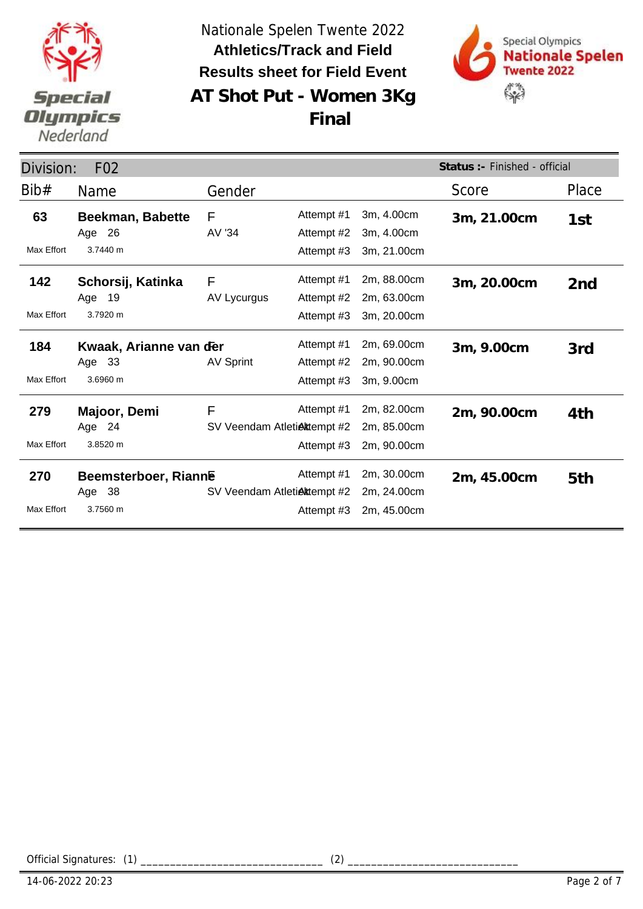



**AT Shot Put - Women 3Kg Final**

| Division:<br>F <sub>02</sub> |                                               |                                  |                                        |                                           | Status: - Finished - official |                 |
|------------------------------|-----------------------------------------------|----------------------------------|----------------------------------------|-------------------------------------------|-------------------------------|-----------------|
| Bib#                         | Name                                          | Gender                           |                                        |                                           | Score                         | Place           |
| 63<br>Max Effort             | <b>Beekman, Babette</b><br>Age 26<br>3.7440 m | F<br>AV '34                      | Attempt #1<br>Attempt #2<br>Attempt #3 | 3m, 4.00cm<br>3m, 4.00cm<br>3m, 21.00cm   | 3m, 21.00cm                   | 1st             |
| 142<br>Max Effort            | Schorsij, Katinka<br>Age 19<br>3.7920 m       | F<br>AV Lycurgus                 | Attempt #1<br>Attempt #2<br>Attempt #3 | 2m, 88.00cm<br>2m, 63.00cm<br>3m, 20.00cm | 3m, 20.00cm                   | 2 <sub>nd</sub> |
| 184<br>Max Effort            | Kwaak, Arianne van der<br>Age 33<br>3.6960 m  | <b>AV Sprint</b>                 | Attempt #1<br>Attempt #2<br>Attempt #3 | 2m, 69.00cm<br>2m, 90.00cm<br>3m, 9.00cm  | 3m, 9.00cm                    | 3rd             |
| 279<br>Max Effort            | Majoor, Demi<br>Age 24<br>3.8520 m            | F<br>SV Veendam Atletiektempt #2 | Attempt #1<br>Attempt #3               | 2m, 82.00cm<br>2m, 85.00cm<br>2m, 90.00cm | 2m, 90.00cm                   | 4th             |
| 270<br>Max Effort            | Beemsterboer, Rianne<br>Age 38<br>3.7560 m    | SV Veendam Atletiektempt #2      | Attempt #1<br>Attempt #3               | 2m, 30.00cm<br>2m, 24.00cm<br>2m, 45.00cm | 2m, 45.00cm                   | 5th             |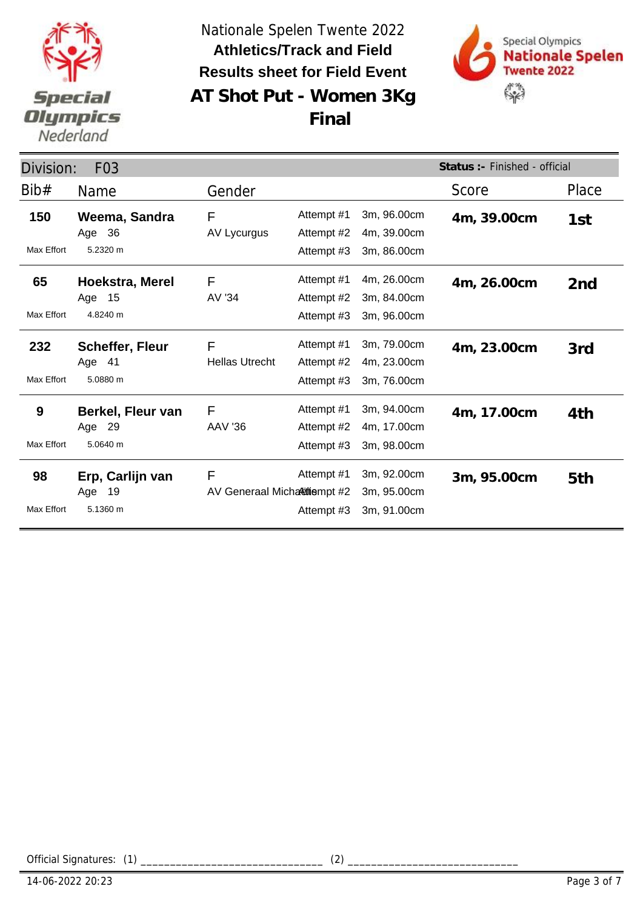



**AT Shot Put - Women 3Kg Final**

| Division:               | F <sub>0</sub> 3                             |                                   |                                        | Status : - Finished - official            |             |                 |
|-------------------------|----------------------------------------------|-----------------------------------|----------------------------------------|-------------------------------------------|-------------|-----------------|
| Bib#                    | Name                                         | Gender                            |                                        |                                           | Score       | Place           |
| 150<br>Max Effort       | Weema, Sandra<br>Age 36<br>5.2320 m          | F<br>AV Lycurgus                  | Attempt #1<br>Attempt #2<br>Attempt #3 | 3m, 96.00cm<br>4m, 39.00cm<br>3m, 86.00cm | 4m, 39.00cm | 1st             |
| 65<br>Max Effort        | Hoekstra, Merel<br>- 15<br>Age<br>4.8240 m   | F<br>AV '34                       | Attempt #1<br>Attempt #2<br>Attempt #3 | 4m, 26.00cm<br>3m, 84.00cm<br>3m, 96.00cm | 4m, 26.00cm | 2 <sub>nd</sub> |
| 232<br>Max Effort       | <b>Scheffer, Fleur</b><br>Age 41<br>5.0880 m | F<br><b>Hellas Utrecht</b>        | Attempt #1<br>Attempt #2<br>Attempt #3 | 3m, 79.00cm<br>4m, 23.00cm<br>3m, 76.00cm | 4m, 23.00cm | 3rd             |
| 9<br>Max Effort         | Berkel, Fleur van<br>Age 29<br>5.0640 m      | F<br><b>AAV '36</b>               | Attempt #1<br>Attempt #2<br>Attempt #3 | 3m, 94.00cm<br>4m, 17.00cm<br>3m, 98.00cm | 4m, 17.00cm | 4th             |
| 98<br><b>Max Effort</b> | Erp, Carlijn van<br>19<br>Age<br>5.1360 m    | F<br>AV Generaal Micharitiempt #2 | Attempt #1<br>Attempt #3               | 3m, 92.00cm<br>3m, 95.00cm<br>3m, 91.00cm | 3m, 95.00cm | 5th             |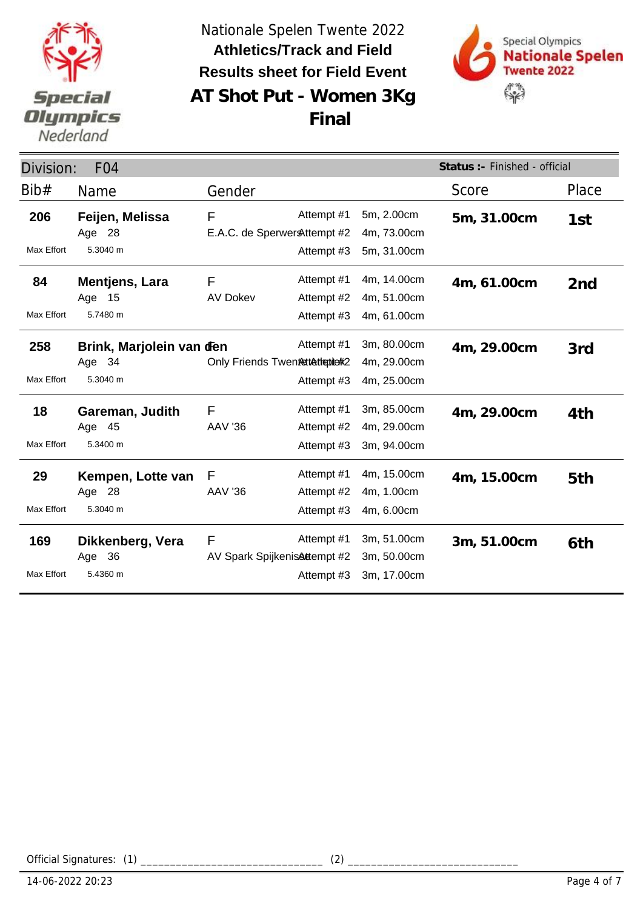



**AT Shot Put - Women 3Kg Final**

| Division:         | F <sub>04</sub>                                |                                    |                                        | Status :- Finished - official             |             |                 |
|-------------------|------------------------------------------------|------------------------------------|----------------------------------------|-------------------------------------------|-------------|-----------------|
| Bib#              | Name                                           | Gender                             |                                        |                                           | Score       | Place           |
| 206<br>Max Effort | Feijen, Melissa<br>Age 28<br>5.3040 m          | F<br>E.A.C. de Sperwer & ttempt #2 | Attempt #1<br>Attempt #3               | 5m, 2.00cm<br>4m, 73.00cm<br>5m, 31.00cm  | 5m, 31.00cm | 1st             |
| 84<br>Max Effort  | <b>Mentjens, Lara</b><br>15<br>Age<br>5.7480 m | F<br><b>AV Dokev</b>               | Attempt #1<br>Attempt #2<br>Attempt #3 | 4m, 14.00cm<br>4m, 51.00cm<br>4m, 61.00cm | 4m, 61.00cm | 2 <sub>nd</sub> |
| 258<br>Max Effort | Brink, Marjolein van den<br>Age 34<br>5.3040 m | Only Friends Twentsttattepterk2    | Attempt #1<br>Attempt #3               | 3m, 80.00cm<br>4m, 29.00cm<br>4m, 25.00cm | 4m, 29.00cm | 3rd             |
| 18<br>Max Effort  | Gareman, Judith<br>Age 45<br>5.3400 m          | F<br><b>AAV '36</b>                | Attempt #1<br>Attempt #2<br>Attempt #3 | 3m, 85.00cm<br>4m, 29.00cm<br>3m, 94.00cm | 4m, 29.00cm | 4th             |
| 29<br>Max Effort  | Kempen, Lotte van<br>Age 28<br>5.3040 m        | F<br><b>AAV '36</b>                | Attempt #1<br>Attempt #2<br>Attempt #3 | 4m, 15.00cm<br>4m, 1.00cm<br>4m, 6.00cm   | 4m, 15.00cm | 5th             |
| 169<br>Max Effort | Dikkenberg, Vera<br>Age 36<br>5.4360 m         | F<br>AV Spark SpijkenisAttempt #2  | Attempt #1<br>Attempt #3               | 3m, 51.00cm<br>3m, 50.00cm<br>3m, 17.00cm | 3m, 51.00cm | 6th             |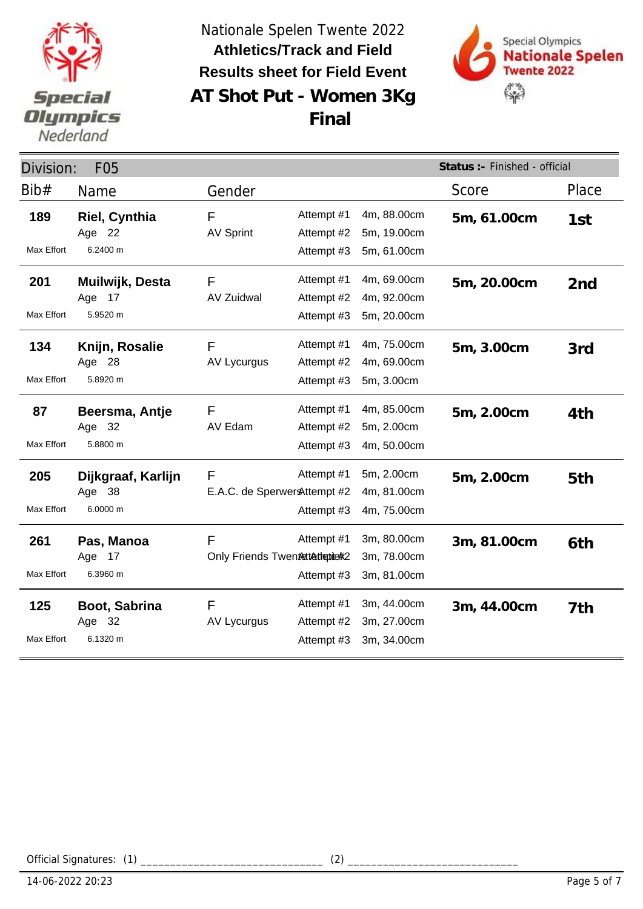



**AT Shot Put - Women 3Kg Final**

| Division:<br><b>F05</b>  |                                               |                                               |                                        |                                           | Status :- Finished - official |                 |  |
|--------------------------|-----------------------------------------------|-----------------------------------------------|----------------------------------------|-------------------------------------------|-------------------------------|-----------------|--|
| Bib#                     | Name                                          | Gender                                        |                                        |                                           | Score                         | Place           |  |
| 189<br><b>Max Effort</b> | Riel, Cynthia<br>Age 22<br>6.2400 m           | F<br><b>AV Sprint</b>                         | Attempt #1<br>Attempt #2<br>Attempt #3 | 4m, 88.00cm<br>5m, 19.00cm<br>5m, 61.00cm | 5m, 61.00cm                   | 1st             |  |
| 201<br>Max Effort        | Muilwijk, Desta<br>Age 17<br>5.9520 m         | F<br><b>AV Zuidwal</b>                        | Attempt #1<br>Attempt #2<br>Attempt #3 | 4m, 69.00cm<br>4m, 92.00cm<br>5m, 20.00cm | 5m, 20.00cm                   | 2 <sub>nd</sub> |  |
| 134<br>Max Effort        | Knijn, Rosalie<br>Age 28<br>5.8920 m          | F<br>AV Lycurgus                              | Attempt #1<br>Attempt #2<br>Attempt #3 | 4m, 75.00cm<br>4m, 69.00cm<br>5m, 3.00cm  | 5m, 3.00cm                    | 3rd             |  |
| 87<br>Max Effort         | Beersma, Antje<br>Age 32<br>5.8800 m          | F<br>AV Edam                                  | Attempt #1<br>Attempt #2<br>Attempt #3 | 4m, 85.00cm<br>5m, 2.00cm<br>4m, 50.00cm  | 5m, 2.00cm                    | 4th             |  |
| 205<br>Max Effort        | Dijkgraaf, Karlijn<br>- 38<br>Age<br>6.0000 m | $\mathsf{F}$<br>E.A.C. de Sperwer & ttempt #2 | Attempt #1<br>Attempt #3               | 5m, 2.00cm<br>4m, 81.00cm<br>4m, 75.00cm  | 5m, 2.00cm                    | 5th             |  |
| 261<br>Max Effort        | Pas, Manoa<br>17<br>Age<br>6.3960 m           | F<br>Only Friends Twentettethetichk2          | Attempt #1<br>Attempt #3               | 3m, 80.00cm<br>3m, 78.00cm<br>3m, 81.00cm | 3m, 81.00cm                   | 6th             |  |
| 125<br>Max Effort        | Boot, Sabrina<br>Age 32<br>6.1320 m           | F<br>AV Lycurgus                              | Attempt #1<br>Attempt #2<br>Attempt #3 | 3m, 44.00cm<br>3m, 27.00cm<br>3m, 34.00cm | 3m, 44.00cm                   | 7th             |  |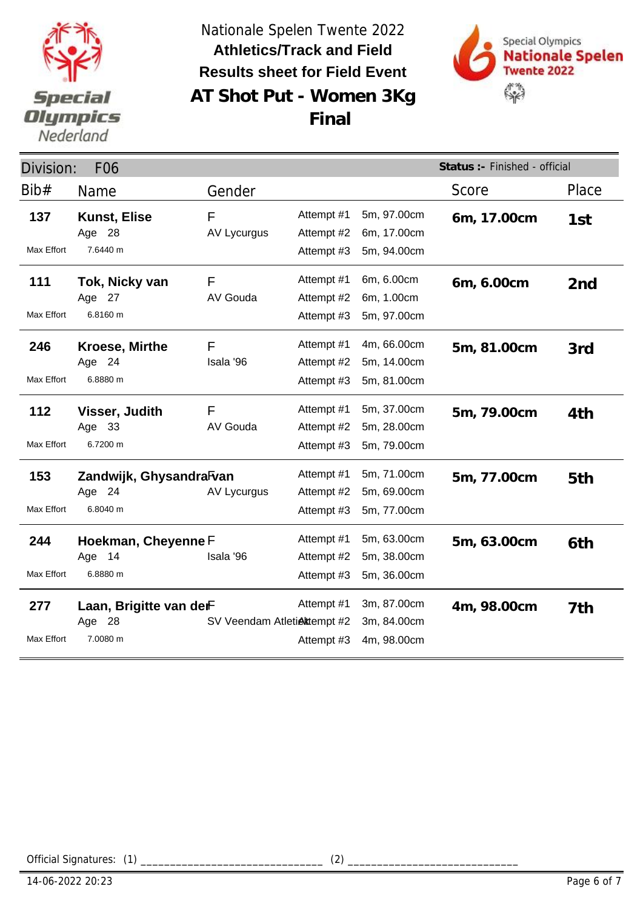



**AT Shot Put - Women 3Kg Final**

| Division:<br>F <sub>06</sub> |                                               |                             |                                        |                                           | Status :- Finished - official |                 |
|------------------------------|-----------------------------------------------|-----------------------------|----------------------------------------|-------------------------------------------|-------------------------------|-----------------|
| Bib#                         | <b>Name</b>                                   | Gender                      |                                        |                                           | Score                         | Place           |
| 137<br>Max Effort            | <b>Kunst, Elise</b><br>Age 28<br>7.6440 m     | F<br><b>AV Lycurgus</b>     | Attempt #1<br>Attempt #2<br>Attempt #3 | 5m, 97.00cm<br>6m, 17.00cm<br>5m, 94.00cm | 6m, 17.00cm                   | 1st             |
| 111<br>Max Effort            | Tok, Nicky van<br>Age 27<br>6.8160 m          | F<br>AV Gouda               | Attempt #1<br>Attempt #2<br>Attempt #3 | 6m, 6.00cm<br>6m, 1.00cm<br>5m, 97.00cm   | 6m, 6.00cm                    | 2 <sub>nd</sub> |
| 246<br>Max Effort            | <b>Kroese, Mirthe</b><br>Age 24<br>6.8880 m   | F<br>Isala '96              | Attempt #1<br>Attempt #2<br>Attempt #3 | 4m, 66.00cm<br>5m, 14.00cm<br>5m, 81.00cm | 5m, 81.00cm                   | 3rd             |
| 112<br>Max Effort            | Visser, Judith<br>Age 33<br>6.7200 m          | F<br>AV Gouda               | Attempt #1<br>Attempt #2<br>Attempt #3 | 5m, 37.00cm<br>5m, 28.00cm<br>5m, 79.00cm | 5m, 79.00cm                   | 4th             |
| 153<br>Max Effort            | Zandwijk, GhysandraFvan<br>Age 24<br>6.8040 m | AV Lycurgus                 | Attempt #1<br>Attempt #2<br>Attempt #3 | 5m, 71.00cm<br>5m, 69.00cm<br>5m, 77.00cm | 5m, 77.00cm                   | 5th             |
| 244<br>Max Effort            | Hoekman, Cheyenne F<br>14<br>Age<br>6.8880 m  | Isala '96                   | Attempt #1<br>Attempt #2<br>Attempt #3 | 5m, 63.00cm<br>5m, 38.00cm<br>5m, 36.00cm | 5m, 63.00cm                   | 6th             |
| 277<br>Max Effort            | Laan, Brigitte van derF<br>Age 28<br>7.0080 m | SV Veendam Atletiektempt #2 | Attempt #1<br>Attempt #3               | 3m, 87.00cm<br>3m, 84.00cm<br>4m, 98.00cm | 4m, 98.00cm                   | 7th             |